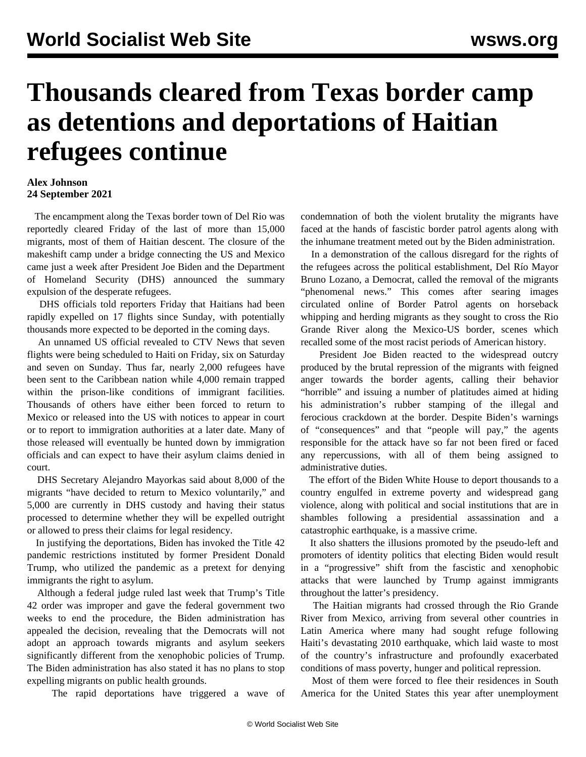## **Thousands cleared from Texas border camp as detentions and deportations of Haitian refugees continue**

## **Alex Johnson 24 September 2021**

 The encampment along the Texas border town of Del Rio was reportedly cleared Friday of the last of more than 15,000 migrants, most of them of Haitian descent. The closure of the makeshift camp under a bridge connecting the US and Mexico came just a week after President Joe Biden and the Department of Homeland Security (DHS) announced the summary expulsion of the desperate refugees.

 DHS officials told reporters Friday that Haitians had been rapidly expelled on 17 flights since Sunday, with potentially thousands more expected to be deported in the coming days.

 An unnamed US official revealed to CTV News that seven flights were being scheduled to Haiti on Friday, six on Saturday and seven on Sunday. Thus far, nearly 2,000 refugees have been sent to the Caribbean nation while 4,000 remain trapped within the prison-like conditions of immigrant facilities. Thousands of others have either been forced to return to Mexico or released into the US with notices to appear in court or to report to immigration authorities at a later date. Many of those released will eventually be hunted down by immigration officials and can expect to have their asylum claims denied in court.

 DHS Secretary Alejandro Mayorkas said about 8,000 of the migrants "have decided to return to Mexico voluntarily," and 5,000 are currently in DHS custody and having their status processed to determine whether they will be expelled outright or allowed to press their claims for legal residency.

 In justifying the deportations, Biden has invoked the Title 42 pandemic restrictions instituted by former President Donald Trump, who utilized the pandemic as a pretext for denying immigrants the right to asylum.

 Although a federal judge ruled last week that Trump's Title 42 order was improper and gave the federal government two weeks to end the procedure, the Biden administration has appealed the decision, revealing that the Democrats will not adopt an approach towards migrants and asylum seekers significantly different from the xenophobic policies of Trump. The Biden administration has also stated it has no plans to stop expelling migrants on public health grounds.

The rapid deportations have triggered a wave of

condemnation of both the violent brutality the migrants have faced at the hands of fascistic border patrol agents along with the inhumane treatment meted out by the Biden administration.

 In a demonstration of the callous disregard for the rights of the refugees across the political establishment, Del Río Mayor Bruno Lozano, a Democrat, called the removal of the migrants "phenomenal news." This comes after searing images circulated online of Border Patrol agents on horseback whipping and herding migrants as they sought to cross the Rio Grande River along the Mexico-US border, scenes which recalled some of the most racist periods of American history.

 President Joe Biden reacted to the widespread outcry produced by the brutal repression of the migrants with feigned anger towards the border agents, calling their behavior "horrible" and issuing a number of platitudes aimed at hiding his administration's rubber stamping of the illegal and ferocious crackdown at the border. Despite Biden's warnings of "consequences" and that "people will pay," the agents responsible for the attack have so far not been fired or faced any repercussions, with all of them being assigned to administrative duties.

 The effort of the Biden White House to deport thousands to a country engulfed in extreme poverty and widespread gang violence, along with political and social institutions that are in shambles following a presidential assassination and a catastrophic earthquake, is a massive crime.

 It also shatters the illusions promoted by the pseudo-left and promoters of identity politics that electing Biden would result in a "progressive" shift from the fascistic and xenophobic attacks that were launched by Trump against immigrants throughout the latter's presidency.

 The Haitian migrants had crossed through the Rio Grande River from Mexico, arriving from several other countries in Latin America where many had sought refuge following Haiti's devastating 2010 earthquake, which laid waste to most of the country's infrastructure and profoundly exacerbated conditions of mass poverty, hunger and political repression.

 Most of them were forced to flee their residences in South America for the United States this year after unemployment